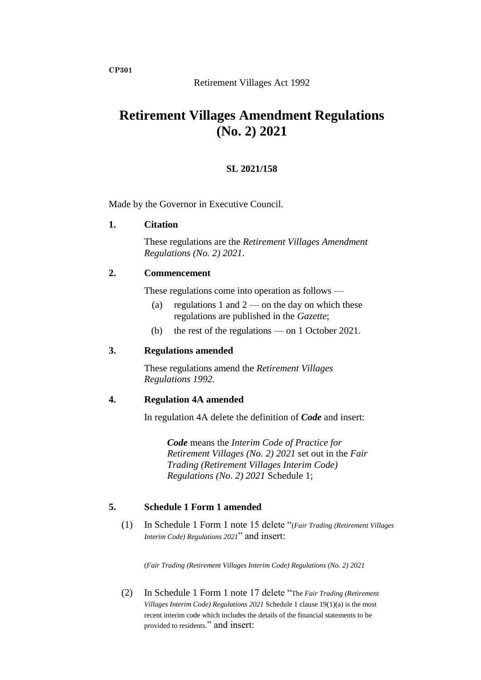# **Retirement Villages Amendment Regulations (No. 2) 2021**

### **SL 2021/158**

Made by the Governor in Executive Council.

#### **1. Citation**

These regulations are the *Retirement Villages Amendment Regulations (No. 2) 2021*.

#### **2. Commencement**

These regulations come into operation as follows —

- (a) regulations 1 and  $2$  on the day on which these regulations are published in the *Gazette*;
- (b) the rest of the regulations on 1 October 2021.

#### **3. Regulations amended**

These regulations amend the *Retirement Villages Regulations 1992*.

#### **4. Regulation 4A amended**

In regulation 4A delete the definition of *Code* and insert:

*Code* means the *Interim Code of Practice for Retirement Villages (No. 2) 2021* set out in the *Fair Trading (Retirement Villages Interim Code) Regulations (No. 2) 2021* Schedule 1;

## **5. Schedule 1 Form 1 amended**

(1) In Schedule 1 Form 1 note 15 delete "(*Fair Trading (Retirement Villages Interim Code) Regulations 2021*" and insert:

(*Fair Trading (Retirement Villages Interim Code) Regulations (No. 2) 2021*

(2) In Schedule 1 Form 1 note 17 delete "The *Fair Trading (Retirement Villages Interim Code) Regulations 2021* Schedule 1 clause 19(1)(a) is the most recent interim code which includes the details of the financial statements to be provided to residents." and insert:

**CP301**